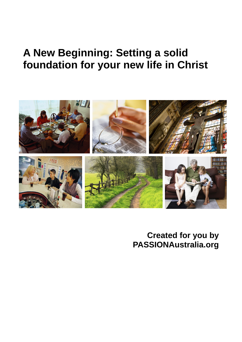# **A New Beginning: Setting a solid foundation for your new life in Christ**



**Created for you by PASSIONAustralia.org**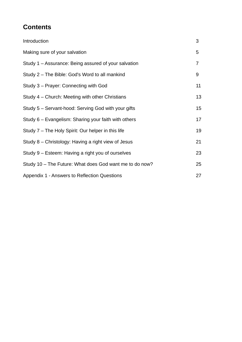# **Contents**

| Introduction                                            | 3              |
|---------------------------------------------------------|----------------|
| Making sure of your salvation                           | 5              |
| Study 1 – Assurance: Being assured of your salvation    | $\overline{7}$ |
| Study 2 - The Bible: God's Word to all mankind          | 9              |
| Study 3 - Prayer: Connecting with God                   | 11             |
| Study 4 – Church: Meeting with other Christians         | 13             |
| Study 5 - Servant-hood: Serving God with your gifts     | 15             |
| Study 6 – Evangelism: Sharing your faith with others    | 17             |
| Study 7 – The Holy Spirit: Our helper in this life      | 19             |
| Study 8 – Christology: Having a right view of Jesus     | 21             |
| Study 9 – Esteem: Having a right you of ourselves       | 23             |
| Study 10 - The Future: What does God want me to do now? | 25             |
| Appendix 1 - Answers to Reflection Questions            | 27             |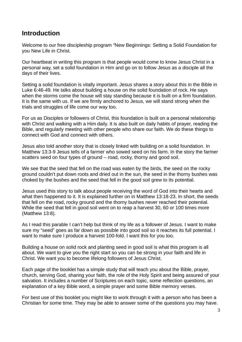### **Introduction**

Welcome to our free discipleship program "New Beginnings: Setting a Solid Foundation for you New Life in Christ.

Our heartbeat in writing this program is that people would come to know Jesus Christ in a personal way, set a solid foundation in Him and go on to follow Jesus as a disciple all the days of their lives.

Setting a solid foundation is vitally important. Jesus shares a story about this in the Bible in Luke 6:46-49. He talks about building a house on the solid foundation of rock. He says when the storms come the house will stay standing because it is built on a firm foundation. It is the same with us. If we are firmly anchored to Jesus, we will stand strong when the trials and struggles of life come our way too.

For us as Disciples or followers of Christ, this foundation is built on a personal relationship with Christ and walking with a Him daily. It is also built on daily habits of prayer, reading the Bible, and regularly meeting with other people who share our faith. We do these things to connect with God and connect with others.

Jesus also told another story that is closely linked with building on a solid foundation. In Matthew 13:3-9 Jesus tells of a farmer who sowed seed on his farm. In the story the farmer scatters seed on four types of ground – road, rocky, thorny and good soil.

We see that the seed that fell on the road was eaten by the birds, the seed on the rocky ground couldn't put down roots and dried out in the sun, the seed in the thorny bushes was choked by the bushes and the seed that fell in the good soil grew to its potential.

Jesus used this story to talk about people receiving the word of God into their hearts and what then happened to it. It is explained further on in Matthew 13:18-23. In short, the seeds that fell on the road, rocky ground and the thorny bushes never reached their potential. While the seed that fell in good soil went on to reap a harvest 30, 60 or 100 times more (Matthew 13:8).

As I read this parable I can't help but think of my life as a follower of Jesus. I want to make sure my "seed" goes as far down as possible into good soil so it reaches its full potential. I want to make sure I produce a harvest 100-fold. I want this for you too.

Building a house on solid rock and planting seed in good soil is what this program is all about. We want to give you the right start so you can be strong in your faith and life in Christ. We want you to become lifelong followers of Jesus Christ.

Each page of the booklet has a simple study that will teach you about the Bible, prayer, church, serving God, sharing your faith, the role of the Holy Spirit and being assured of your salvation. It includes a number of Scriptures on each topic, some reflection questions, an explanation of a key Bible word, a simple prayer and some Bible memory verses.

For best use of this booklet you might like to work through it with a person who has been a Christian for some time. They may be able to answer some of the questions you may have.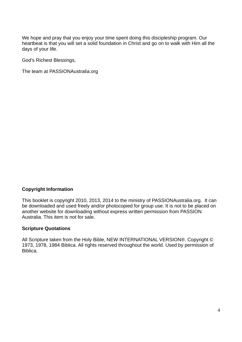We hope and pray that you enjoy your time spent doing this discipleship program. Our heartbeat is that you will set a solid foundation in Christ and go on to walk with Him all the days of your life.

God's Richest Blessings,

The team at PASSIONAustralia.org

#### **Copyright Information**

This booklet is copyright 2010, 2013, 2014 to the ministry of PASSIONAustralia.org. It can be downloaded and used freely and/or photocopied for group use. It is not to be placed on another website for downloading without express written permission from PASSION Australia. This item is not for sale.

#### **Scripture Quotations**

All Scripture taken from the Holy Bible, NEW INTERNATIONAL VERSION®. Copyright © 1973, 1978, 1984 Biblica. All rights reserved throughout the world. Used by permission of Biblica.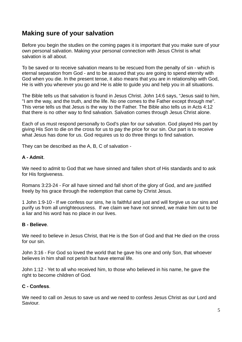# **Making sure of your salvation**

Before you begin the studies on the coming pages it is important that you make sure of your own personal salvation. Making your personal connection with Jesus Christ is what salvation is all about.

To be saved or to receive salvation means to be rescued from the penalty of sin - which is eternal separation from God - and to be assured that you are going to spend eternity with God when you die. In the present tense, it also means that you are in relationship with God, He is with you wherever you go and He is able to guide you and help you in all situations.

The Bible tells us that salvation is found in Jesus Christ. John 14:6 says, "Jesus said to him, "I am the way, and the truth, and the life. No one comes to the Father except through me". This verse tells us that Jesus is the way to the Father. The Bible also tells us in Acts 4:12 that there is no other way to find salvation. Salvation comes through Jesus Christ alone.

Each of us must respond personally to God's plan for our salvation. God played His part by giving His Son to die on the cross for us to pay the price for our sin. Our part is to receive what Jesus has done for us. God requires us to do three things to find salvation.

They can be described as the A, B, C of salvation -

#### **A - Admit**.

We need to admit to God that we have sinned and fallen short of His standards and to ask for His forgiveness.

Romans 3:23-24 - For all have sinned and fall short of the glory of God, and are justified freely by his grace through the redemption that came by Christ Jesus.

1 John 1:9-10 - If we confess our sins, he is faithful and just and will forgive us our sins and purify us from all unrighteousness. If we claim we have not sinned, we make him out to be a liar and his word has no place in our lives.

#### **B - Believe**.

We need to believe in Jesus Christ, that He is the Son of God and that He died on the cross for our sin.

John 3:16 - For God so loved the world that he gave his one and only Son, that whoever believes in him shall not perish but have eternal life.

John 1:12 - Yet to all who received him, to those who believed in his name, he gave the right to become children of God.

#### **C - Confess**.

We need to call on Jesus to save us and we need to confess Jesus Christ as our Lord and Saviour.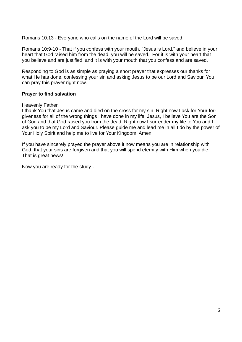Romans 10:13 - Everyone who calls on the name of the Lord will be saved.

Romans 10:9-10 - That if you confess with your mouth, "Jesus is Lord," and believe in your heart that God raised him from the dead, you will be saved. For it is with your heart that you believe and are justified, and it is with your mouth that you confess and are saved.

Responding to God is as simple as praying a short prayer that expresses our thanks for what He has done, confessing your sin and asking Jesus to be our Lord and Saviour. You can pray this prayer right now.

#### **Prayer to find salvation**

Heavenly Father,

I thank You that Jesus came and died on the cross for my sin. Right now I ask for Your forgiveness for all of the wrong things I have done in my life. Jesus, I believe You are the Son of God and that God raised you from the dead. Right now I surrender my life to You and I ask you to be my Lord and Saviour. Please guide me and lead me in all I do by the power of Your Holy Spirit and help me to live for Your Kingdom. Amen.

If you have sincerely prayed the prayer above it now means you are in relationship with God, that your sins are forgiven and that you will spend eternity with Him when you die. That is great news!

Now you are ready for the study…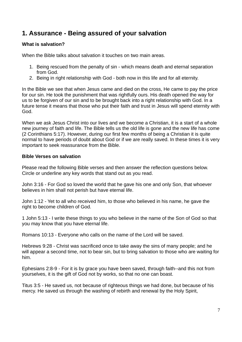# **1. Assurance - Being assured of your salvation**

#### **What is salvation?**

When the Bible talks about salvation it touches on two main areas.

- 1. Being rescued from the penalty of sin which means death and eternal separation from God.
- 2. Being in right relationship with God both now in this life and for all eternity.

In the Bible we see that when Jesus came and died on the cross, He came to pay the price for our sin. He took the punishment that was rightfully ours. His death opened the way for us to be forgiven of our sin and to be brought back into a right relationship with God. In a future tense it means that those who put their faith and trust in Jesus will spend eternity with God.

When we ask Jesus Christ into our lives and we become a Christian, it is a start of a whole new journey of faith and life. The Bible tells us the old life is gone and the new life has come (2 Corinthians 5:17). However, during our first few months of being a Christian it is quite normal to have periods of doubt about God or if we are really saved. In these times it is very important to seek reassurance from the Bible.

#### **Bible Verses on salvation**

Please read the following Bible verses and then answer the reflection questions below. Circle or underline any key words that stand out as you read.

John 3:16 - For God so loved the world that he gave his one and only Son, that whoever believes in him shall not perish but have eternal life.

John 1:12 - Yet to all who received him, to those who believed in his name, he gave the right to become children of God.

1 John 5:13 - I write these things to you who believe in the name of the Son of God so that you may know that you have eternal life.

Romans 10:13 - Everyone who calls on the name of the Lord will be saved.

Hebrews 9:28 - Christ was sacrificed once to take away the sins of many people; and he will appear a second time, not to bear sin, but to bring salvation to those who are waiting for him.

Ephesians 2:8-9 - For it is by grace you have been saved, through faith--and this not from yourselves, it is the gift of God not by works, so that no one can boast.

Titus 3:5 - He saved us, not because of righteous things we had done, but because of his mercy. He saved us through the washing of rebirth and renewal by the Holy Spirit,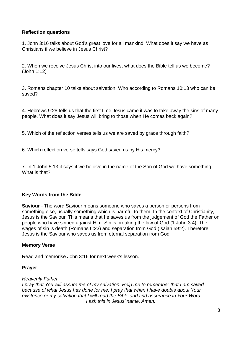#### **Reflection questions**

1. John 3:16 talks about God's great love for all mankind. What does it say we have as Christians if we believe in Jesus Christ?

2. When we receive Jesus Christ into our lives, what does the Bible tell us we become? (John 1:12)

3. Romans chapter 10 talks about salvation. Who according to Romans 10:13 who can be saved?

4. Hebrews 9:28 tells us that the first time Jesus came it was to take away the sins of many people. What does it say Jesus will bring to those when He comes back again?

5. Which of the reflection verses tells us we are saved by grace through faith?

6. Which reflection verse tells says God saved us by His mercy?

7. In 1 John 5:13 it says if we believe in the name of the Son of God we have something. What is that?

#### **Key Words from the Bible**

**Saviour** - The word Saviour means someone who saves a person or persons from something else, usually something which is harmful to them. In the context of Christianity, Jesus is the Saviour. This means that he saves us from the judgement of God the Father on people who have sinned against Him. Sin is breaking the law of God (1 John 3:4). The wages of sin is death (Romans 6:23) and separation from God (Isaiah 59:2). Therefore, Jesus is the Saviour who saves us from eternal separation from God.

#### **Memory Verse**

Read and memorise John 3:16 for next week's lesson.

#### **Prayer**

#### *Heavenly Father,*

*I pray that You will assure me of my salvation. Help me to remember that I am saved because of what Jesus has done for me. I pray that when I have doubts about Your existence or my salvation that I will read the Bible and find assurance in Your Word. I ask this in Jesus' name, Amen.*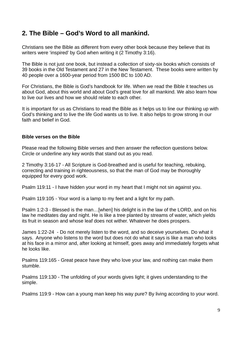### **2. The Bible – God's Word to all mankind.**

Christians see the Bible as different from every other book because they believe that its writers were 'inspired' by God when writing it (2 Timothy 3:16).

The Bible is not just one book, but instead a collection of sixty-six books which consists of 39 books in the Old Testament and 27 in the New Testament. These books were written by 40 people over a 1600-year period from 1500 BC to 100 AD.

For Christians, the Bible is God's handbook for life. When we read the Bible it teaches us about God, about this world and about God's great love for all mankind. We also learn how to live our lives and how we should relate to each other.

It is important for us as Christians to read the Bible as it helps us to line our thinking up with God's thinking and to live the life God wants us to live. It also helps to grow strong in our faith and belief in God.

#### **Bible verses on the Bible**

Please read the following Bible verses and then answer the reflection questions below. Circle or underline any key words that stand out as you read.

2 Timothy 3:16-17 - All Scripture is God-breathed and is useful for teaching, rebuking, correcting and training in righteousness, so that the man of God may be thoroughly equipped for every good work.

Psalm 119:11 - I have hidden your word in my heart that I might not sin against you.

Psalm 119:105 - Your word is a lamp to my feet and a light for my path.

Psalm 1:2-3 - Blessed is the man…[when] his delight is in the law of the LORD, and on his law he meditates day and night. He is like a tree planted by streams of water, which yields its fruit in season and whose leaf does not wither. Whatever he does prospers.

James 1:22-24 - Do not merely listen to the word, and so deceive yourselves. Do what it says. Anyone who listens to the word but does not do what it says is like a man who looks at his face in a mirror and, after looking at himself, goes away and immediately forgets what he looks like.

Psalms 119:165 - Great peace have they who love your law, and nothing can make them stumble.

Psalms 119:130 - The unfolding of your words gives light; it gives understanding to the simple.

Psalms 119:9 - How can a young man keep his way pure? By living according to your word.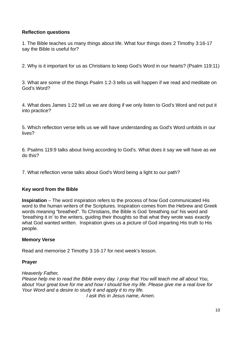#### **Reflection questions**

1. The Bible teaches us many things about life. What four things does 2 Timothy 3:16-17 say the Bible is useful for?

2. Why is it important for us as Christians to keep God's Word in our hearts? (Psalm 119:11)

3. What are some of the things Psalm 1:2-3 tells us will happen if we read and meditate on God's Word?

4. What does James 1:22 tell us we are doing if we only listen to God's Word and not put it into practice?

5. Which reflection verse tells us we will have understanding as God's Word unfolds in our lives?

6. Psalms 119:9 talks about living according to God's. What does it say we will have as we do this?

7. What reflection verse talks about God's Word being a light to our path?

#### **Key word from the Bible**

**Inspiration** – The word inspiration refers to the process of how God communicated His word to the human writers of the Scriptures. Inspiration comes from the Hebrew and Greek words meaning "breathed". To Christians, the Bible is God 'breathing out' his word and 'breathing it in' to the writers, guiding their thoughts so that what they wrote was *exactly* what God wanted written. Inspiration gives us a picture of God imparting His truth to His people.

#### **Memory Verse**

Read and memorise 2 Timothy 3:16-17 for next week's lesson.

#### **Prayer**

*Heavenly Father,* 

*Please help me to read the Bible every day. I pray that You will teach me all about You, about Your great love for me and how I should live my life. Please give me a real love for Your Word and a desire to study it and apply it to my life. I ask this in Jesus name, Amen.*

10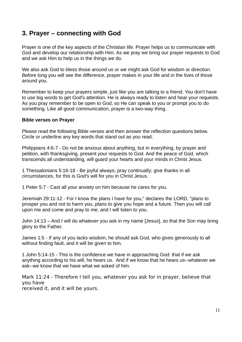# **3. Prayer – connecting with God**

Prayer is one of the key aspects of the Christian life. Prayer helps us to communicate with God and develop our relationship with Him. As we pray we bring our prayer requests to God and we ask Him to help us in the things we do.

We also ask God to bless those around us or we might ask God for wisdom or direction. Before long you will see the difference, prayer makes in your life and in the lives of those around you.

Remember to keep your prayers simple, just like you are talking to a friend. You don't have to use big words to get God's attention. He is always ready to listen and hear your requests. As you pray remember to be open to God, so He can speak to you or prompt you to do something. Like all good communication, prayer is a two-way thing.

#### **Bible verses on Prayer**

Please read the following Bible verses and then answer the reflection questions below. Circle or underline any key words that stand out as you read.

Philippians 4:6-7 - Do not be anxious about anything, but in everything, by prayer and petition, with thanksgiving, present your requests to God. And the peace of God, which transcends all understanding, will guard your hearts and your minds in Christ Jesus.

1 Thessalonians 5:16-18 - Be joyful always; pray continually; give thanks in all circumstances, for this is God's will for you in Christ Jesus.

1 Peter 5:7 - Cast all your anxiety on him because he cares for you.

Jeremiah 29:11-12 - For I know the plans I have for you," declares the LORD, "plans to prosper you and not to harm you, plans to give you hope and a future. Then you will call upon me and come and pray to me, and I will listen to you.

John 14:13 – And I will do whatever you ask in my name [Jesus], so that the Son may bring glory to the Father.

James 1:5 - If any of you lacks wisdom, he should ask God, who gives generously to all without finding fault, and it will be given to him.

1 John 5:14-15 - This is the confidence we have in approaching God: that if we ask anything according to his will, he hears us. And if we know that he hears us--whatever we ask--we know that we have what we asked of him.

Mark 11:24 - Therefore I tell you, whatever you ask for in prayer, believe that you have

received it, and it will be yours.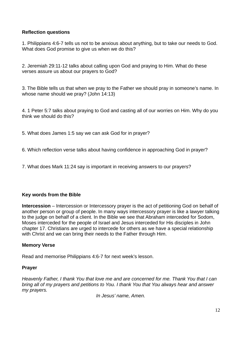#### **Reflection questions**

1. Philippians 4:6-7 tells us not to be anxious about anything, but to take our needs to God. What does God promise to give us when we do this?

2. Jeremiah 29:11-12 talks about calling upon God and praying to Him. What do these verses assure us about our prayers to God?

3. The Bible tells us that when we pray to the Father we should pray in someone's name. In whose name should we pray? (John 14:13)

4. 1 Peter 5:7 talks about praying to God and casting all of our worries on Him. Why do you think we should do this?

5. What does James 1:5 say we can ask God for in prayer?

6. Which reflection verse talks about having confidence in approaching God in prayer?

7. What does Mark 11:24 say is important in receiving answers to our prayers?

#### **Key words from the Bible**

**Intercession** – Intercession or Intercessory prayer is the act of petitioning God on behalf of another person or group of people. In many ways intercessory prayer is like a lawyer talking to the judge on behalf of a client. In the Bible we see that Abraham interceded for Sodom, Moses interceded for the people of Israel and Jesus interceded for His disciples in John chapter 17. Christians are urged to intercede for others as we have a special relationship with Christ and we can bring their needs to the Father through Him.

#### **Memory Verse**

Read and memorise Philippians 4:6-7 for next week's lesson.

#### **Prayer**

*Heavenly Father, I thank You that love me and are concerned for me. Thank You that I can bring all of my prayers and petitions to You. I thank You that You always hear and answer my prayers.* 

*In Jesus' name, Amen.*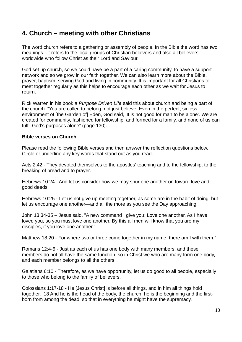# **4. Church – meeting with other Christians**

The word church refers to a gathering or assembly of people. In the Bible the word has two meanings - it refers to the local groups of Christian believers and also all believers worldwide who follow Christ as their Lord and Saviour.

God set up church, so we could have be a part of a caring community, to have a support network and so we grow in our faith together. We can also learn more about the Bible, prayer, baptism, serving God and living in community. It is important for all Christians to meet together regularly as this helps to encourage each other as we wait for Jesus to return.

Rick Warren in his book a *Purpose Driven Life* said this about church and being a part of the church. "You are called to belong, not just believe. Even in the perfect, sinless environment of [the Garden of] Eden, God said, 'It is not good for man to be alone'. We are created for community, fashioned for fellowship, and formed for a family, and none of us can fulfil God's purposes alone" (page 130).

#### **Bible verses on Church**

Please read the following Bible verses and then answer the reflection questions below. Circle or underline any key words that stand out as you read.

Acts 2:42 - They devoted themselves to the apostles' teaching and to the fellowship, to the breaking of bread and to prayer.

Hebrews 10:24 - And let us consider how we may spur one another on toward love and good deeds.

Hebrews 10:25 - Let us not give up meeting together, as some are in the habit of doing, but let us encourage one another—and all the more as you see the Day approaching.

John 13:34-35 – Jesus said, "A new command I give you: Love one another. As I have loved you, so you must love one another. By this all men will know that you are my disciples, if you love one another."

Matthew 18:20 - For where two or three come together in my name, there am I with them."

Romans 12:4-5 - Just as each of us has one body with many members, and these members do not all have the same function, so in Christ we who are many form one body, and each member belongs to all the others.

Galatians 6:10 - Therefore, as we have opportunity, let us do good to all people, especially to those who belong to the family of believers.

Colossians 1:17-18 - He [Jesus Christ] is before all things, and in him all things hold together. 18 And he is the head of the body, the church; he is the beginning and the firstborn from among the dead, so that in everything he might have the supremacy.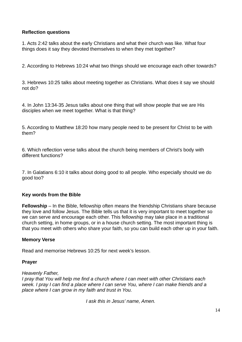#### **Reflection questions**

1. Acts 2:42 talks about the early Christians and what their church was like. What four things does it say they devoted themselves to when they met together?

2. According to Hebrews 10:24 what two things should we encourage each other towards?

3. Hebrews 10:25 talks about meeting together as Christians. What does it say we should not do?

4. In John 13:34-35 Jesus talks about one thing that will show people that we are His disciples when we meet together. What is that thing?

5. According to Matthew 18:20 how many people need to be present for Christ to be with them?

6. Which reflection verse talks about the church being members of Christ's body with different functions?

7. In Galatians 6:10 it talks about doing good to all people. Who especially should we do good too?

#### **Key words from the Bible**

**Fellowship** – In the Bible, fellowship often means the friendship Christians share because they love and follow Jesus. The Bible tells us that it is very important to meet together so we can serve and encourage each other. This fellowship may take place in a traditional church setting, in home groups, or in a house church setting. The most important thing is that you meet with others who share your faith, so you can build each other up in your faith.

#### **Memory Verse**

Read and memorise Hebrews 10:25 for next week's lesson.

#### **Prayer**

*Heavenly Father,* 

*I pray that You will help me find a church where I can meet with other Christians each week. I pray I can find a place where I can serve You, where I can make friends and a place where I can grow in my faith and trust in You.* 

*I ask this in Jesus' name, Amen.*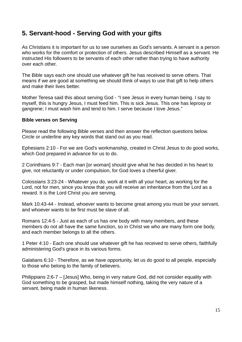# **5. Servant-hood - Serving God with your gifts**

As Christians it is important for us to see ourselves as God's servants. A servant is a person who works for the comfort or protection of others. Jesus described Himself as a servant. He instructed His followers to be servants of each other rather than trying to have authority over each other.

The Bible says each one should use whatever gift he has received to serve others. That means if we are good at something we should think of ways to use that gift to help others and make their lives better.

Mother Teresa said this about serving God - "I see Jesus in every human being. I say to myself, this is hungry Jesus, I must feed him. This is sick Jesus. This one has leprosy or gangrene; I must wash him and tend to him. I serve because I love Jesus."

#### **Bible verses on Serving**

Please read the following Bible verses and then answer the reflection questions below. Circle or underline any key words that stand out as you read.

Ephesians 2:10 - For we are God's workmanship, created in Christ Jesus to do good works, which God prepared in advance for us to do.

2 Corinthians 9:7 - Each man [or woman] should give what he has decided in his heart to give, not reluctantly or under compulsion, for God loves a cheerful giver.

Colossians 3:23-24 - Whatever you do, work at it with all your heart, as working for the Lord, not for men, since you know that you will receive an inheritance from the Lord as a reward. It is the Lord Christ you are serving.

Mark 10:43-44 - Instead, whoever wants to become great among you must be your servant, and whoever wants to be first must be slave of all.

Romans 12:4-5 - Just as each of us has one body with many members, and these members do not all have the same function, so in Christ we who are many form one body, and each member belongs to all the others.

1 Peter 4:10 - Each one should use whatever gift he has received to serve others, faithfully administering God's grace in its various forms.

Galatians 6:10 - Therefore, as we have opportunity, let us do good to all people, especially to those who belong to the family of believers.

Philippians 2:6-7 – [Jesus] Who, being in very nature God, did not consider equality with God something to be grasped, but made himself nothing, taking the very nature of a servant, being made in human likeness.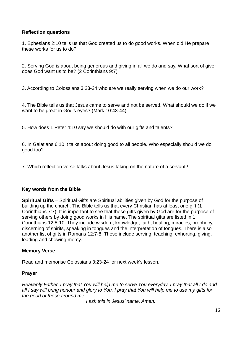#### **Reflection questions**

1. Ephesians 2:10 tells us that God created us to do good works. When did He prepare these works for us to do?

2. Serving God is about being generous and giving in all we do and say. What sort of giver does God want us to be? (2 Corinthians 9:7)

3. According to Colossians 3:23-24 who are we really serving when we do our work?

4. The Bible tells us that Jesus came to serve and not be served. What should we do if we want to be great in God's eyes? (Mark 10:43-44)

5. How does 1 Peter 4:10 say we should do with our gifts and talents?

6. In Galatians 6:10 it talks about doing good to all people. Who especially should we do good too?

7. Which reflection verse talks about Jesus taking on the nature of a servant?

#### **Key words from the Bible**

**Spiritual Gifts** – Spiritual Gifts are Spiritual abilities given by God for the purpose of building up the church. The Bible tells us that every Christian has at least one gift (1 Corinthians 7:7). It is important to see that these gifts given by God are for the purpose of serving others by doing good works in His name. The spiritual gifts are listed in 1 Corinthians 12:8-10. They include wisdom, knowledge, faith, healing, miracles, prophecy, discerning of spirits, speaking in tongues and the interpretation of tongues. There is also another list of gifts in Romans 12:7-8. These include serving, teaching, exhorting, giving, leading and showing mercy.

#### **Memory Verse**

Read and memorise Colossians 3:23-24 for next week's lesson.

#### **Prayer**

*Heavenly Father, I pray that You will help me to serve You everyday. I pray that all I do and all I say will bring honour and glory to You. I pray that You will help me to use my gifts for the good of those around me.* 

*I ask this in Jesus' name, Amen.*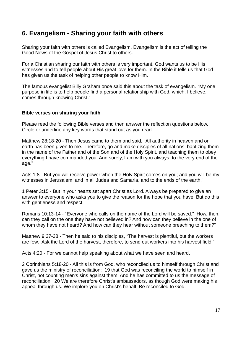# **6. Evangelism - Sharing your faith with others**

Sharing your faith with others is called Evangelism. Evangelism is the act of telling the Good News of the Gospel of Jesus Christ to others.

For a Christian sharing our faith with others is very important. God wants us to be His witnesses and to tell people about His great love for them. In the Bible it tells us that God has given us the task of helping other people to know Him.

The famous evangelist Billy Graham once said this about the task of evangelism. "My one purpose in life is to help people find a personal relationship with God, which, I believe, comes through knowing Christ."

#### **Bible verses on sharing your faith**

Please read the following Bible verses and then answer the reflection questions below. Circle or underline any key words that stand out as you read.

Matthew 28:18-20 - Then Jesus came to them and said, "All authority in heaven and on earth has been given to me. Therefore, go and make disciples of all nations, baptizing them in the name of the Father and of the Son and of the Holy Spirit, and teaching them to obey everything I have commanded you. And surely, I am with you always, to the very end of the age."

Acts 1:8 - But you will receive power when the Holy Spirit comes on you; and you will be my witnesses in Jerusalem, and in all Judea and Samaria, and to the ends of the earth."

1 Peter 3:15 - But in your hearts set apart Christ as Lord. Always be prepared to give an answer to everyone who asks you to give the reason for the hope that you have. But do this with gentleness and respect.

Romans 10:13-14 - "Everyone who calls on the name of the Lord will be saved." How, then, can they call on the one they have not believed in? And how can they believe in the one of whom they have not heard? And how can they hear without someone preaching to them?"

Matthew 9:37-38 - Then he said to his disciples, "The harvest is plentiful, but the workers are few. Ask the Lord of the harvest, therefore, to send out workers into his harvest field."

Acts 4:20 - For we cannot help speaking about what we have seen and heard.

2 Corinthians 5:18-20 - All this is from God, who reconciled us to himself through Christ and gave us the ministry of reconciliation: 19 that God was reconciling the world to himself in Christ, not counting men's sins against them. And he has committed to us the message of reconciliation. 20 We are therefore Christ's ambassadors, as though God were making his appeal through us. We implore you on Christ's behalf: Be reconciled to God.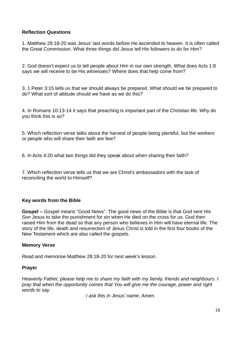#### **Reflection Questions**

1. Matthew 28:18-20 was Jesus' last words before He ascended to heaven. It is often called the Great Commission. What three things did Jesus tell His followers to do for Him?

2. God doesn't expect us to tell people about Him in our own strength. What does Acts 1:8 says we will receive to be His witnesses? Where does that help come from?

3. 1 Peter 3:15 tells us that we should always be prepared. What should we be prepared to do? What sort of attitude should we have as we do this?

4. In Romans 10:13-14 it says that preaching is important part of the Christian life. Why do you think this is so?

5. Which reflection verse talks about the harvest of people being plentiful, but the workers or people who will share their faith are few?

6. In Acts 4:20 what two things did they speak about when sharing their faith?

7. Which reflection verse tells us that we are Christ's ambassadors with the task of reconciling the world to Himself?

#### **Key words from the Bible**

**Gospel –** Gospel means "Good News". The good news of the Bible is that God sent His Son Jesus to take the punishment for sin when He died on the cross for us. God then raised Him from the dead so that any person who believes in Him will have eternal life. The story of the life, death and resurrection of Jesus Christ is told in the first four books of the New Testament which are also called the gospels.

#### **Memory Verse**

Read and memorise Matthew 28:18-20 for next week's lesson.

#### **Prayer**

*Heavenly Father, please help me to share my faith with my family, friends and neighbours. I pray that when the opportunity comes that You will give me the courage, power and right words to say.* 

*I ask this in Jesus' name, Amen.*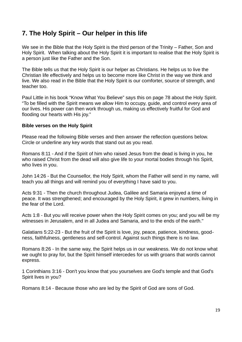# **7. The Holy Spirit – Our helper in this life**

We see in the Bible that the Holy Spirit is the third person of the Trinity – Father, Son and Holy Spirit. When talking about the Holy Spirit it is important to realise that the Holy Spirit is a person just like the Father and the Son.

The Bible tells us that the Holy Spirit is our helper as Christians. He helps us to live the Christian life effectively and helps us to become more like Christ in the way we think and live. We also read in the Bible that the Holy Spirit is our comforter, source of strength, and teacher too.

Paul Little in his book "Know What You Believe" says this on page 78 about the Holy Spirit. "To be filled with the Spirit means we allow Him to occupy, guide, and control every area of our lives. His power can then work through us, making us effectively fruitful for God and flooding our hearts with His joy."

#### **Bible verses on the Holy Spirit**

Please read the following Bible verses and then answer the reflection questions below. Circle or underline any key words that stand out as you read.

Romans 8:11 - And if the Spirit of him who raised Jesus from the dead is living in you, he who raised Christ from the dead will also give life to your mortal bodies through his Spirit, who lives in you.

John 14:26 - But the Counsellor, the Holy Spirit, whom the Father will send in my name, will teach you all things and will remind you of everything I have said to you.

Acts 9:31 - Then the church throughout Judea, Galilee and Samaria enjoyed a time of peace. It was strengthened; and encouraged by the Holy Spirit, it grew in numbers, living in the fear of the Lord.

Acts 1:8 - But you will receive power when the Holy Spirit comes on you; and you will be my witnesses in Jerusalem, and in all Judea and Samaria, and to the ends of the earth."

Galatians 5:22-23 - But the fruit of the Spirit is love, joy, peace, patience, kindness, goodness, faithfulness, gentleness and self-control. Against such things there is no law.

Romans 8:26 - In the same way, the Spirit helps us in our weakness. We do not know what we ought to pray for, but the Spirit himself intercedes for us with groans that words cannot express.

1 Corinthians 3:16 - Don't you know that you yourselves are God's temple and that God's Spirit lives in you?

Romans 8:14 - Because those who are led by the Spirit of God are sons of God.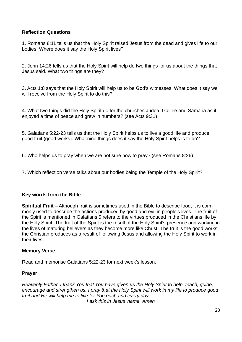#### **Reflection Questions**

1. Romans 8:11 tells us that the Holy Spirit raised Jesus from the dead and gives life to our bodies. Where does it say the Holy Spirit lives?

2. John 14:26 tells us that the Holy Spirit will help do two things for us about the things that Jesus said. What two things are they?

3. Acts 1:8 says that the Holy Spirit will help us to be God's witnesses. What does it say we will receive from the Holy Spirit to do this?

4. What two things did the Holy Spirit do for the churches Judea, Galilee and Samaria as it enjoyed a time of peace and grew in numbers? (see Acts 9:31)

5. Galatians 5:22-23 tells us that the Holy Spirit helps us to live a good life and produce good fruit (good works). What nine things does it say the Holy Spirit helps is to do?

6. Who helps us to pray when we are not sure how to pray? (see Romans 8:26)

7. Which reflection verse talks about our bodies being the Temple of the Holy Spirit?

#### **Key words from the Bible**

**Spiritual Fruit** – Although fruit is sometimes used in the Bible to describe food, it is commonly used to describe the actions produced by good and evil in people's lives. The fruit of the Spirit is mentioned in Galatians 5 refers to the virtues produced in the Christians life by the Holy Spirit. The fruit of the Spirit is the result of the Holy Spirit's presence and working in the lives of maturing believers as they become more like Christ. The fruit is the good works the Christian produces as a result of following Jesus and allowing the Holy Spirit to work in their lives.

#### **Memory Verse**

Read and memorise Galatians 5:22-23 for next week's lesson.

#### **Prayer**

*Heavenly Father, I thank You that You have given us the Holy Spirit to help, teach, guide, encourage and strengthen us. I pray that the Holy Spirit will work in my life to produce good fruit and He will help me to live for You each and every day. I ask this in Jesus' name, Amen*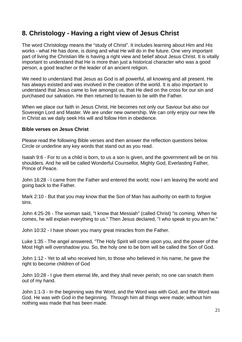# **8. Christology - Having a right view of Jesus Christ**

The word Christology means the "study of Christ". It includes learning about Him and His works - what He has done, is doing and what He will do in the future. One very important part of living the Christian life is having a right view and belief about Jesus Christ. It is vitally important to understand that He is more than just a historical character who was a good person, a good teacher or the leader of an ancient religion.

We need to understand that Jesus as God is all powerful, all knowing and all present. He has always existed and was involved in the creation of the world. It is also important to understand that Jesus came to live amongst us, that He died on the cross for our sin and purchased our salvation. He then returned to heaven to be with the Father.

When we place our faith in Jesus Christ, He becomes not only our Saviour but also our Sovereign Lord and Master. We are under new ownership. We can only enjoy our new life in Christ as we daily seek His will and follow Him in obedience.

#### **Bible verses on Jesus Christ**

Please read the following Bible verses and then answer the reflection questions below. Circle or underline any key words that stand out as you read.

Isaiah 9:6 - For to us a child is born, to us a son is given, and the government will be on his shoulders. And he will be called Wonderful Counsellor, Mighty God, Everlasting Father, Prince of Peace.

John 16:28 - I came from the Father and entered the world; now I am leaving the world and going back to the Father.

Mark 2:10 - But that you may know that the Son of Man has authority on earth to forgive sins.

John 4:25-26 - The woman said, "I know that Messiah" (called Christ) "is coming. When he comes, he will explain everything to us." Then Jesus declared, "I who speak to you am he."

John 10:32 - I have shown you many great miracles from the Father.

Luke 1:35 - The angel answered, "The Holy Spirit will come upon you, and the power of the Most High will overshadow you. So, the holy one to be born will be called the Son of God.

John 1:12 - Yet to all who received him, to those who believed in his name, he gave the right to become children of God

John 10:28 - I give them eternal life, and they shall never perish; no one can snatch them out of my hand.

John 1:1-3 - In the beginning was the Word, and the Word was with God, and the Word was God. He was with God in the beginning. Through him all things were made; without him nothing was made that has been made.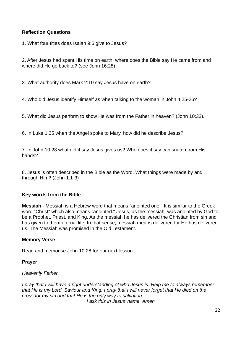#### **Reflection Questions**

1. What four titles does Isaiah 9:6 give to Jesus?

2. After Jesus had spent His time on earth, where does the Bible say He came from and where did He go back to? (see John 16:28)

3. What authority does Mark 2:10 say Jesus have on earth?

4. Who did Jesus identify Himself as when talking to the woman in John 4:25-26?

5. What did Jesus perform to show He was from the Father in heaven? (John 10:32).

6. In Luke 1:35 when the Angel spoke to Mary, how did he describe Jesus?

7. In John 10:28 what did it say Jesus gives us? Who does it say can snatch from His hands?

8. Jesus is often described in the Bible as the Word. What things were made by and through Him? (John 1:1-3)

#### **Key words from the Bible**

**Messiah** - Messiah is a Hebrew word that means "anointed one." It is similar to the Greek word "Christ" which also means "anointed." Jesus, as the messiah, was anointed by God to be a Prophet, Priest, and King. As the messiah he has delivered the Christian from sin and has given to them eternal life. In that sense, messiah means deliverer, for He has delivered us. The Messiah was promised in the Old Testament.

#### **Memory Verse**

Read and memorise John 10:28 for our next lesson.

#### **Prayer**

#### *Heavenly Father,*

*I pray that I will have a right understanding of who Jesus is. Help me to always remember that He is my Lord, Saviour and King. I pray that I will never forget that He died on the cross for my sin and that He is the only way to salvation.*

*I ask this in Jesus' name, Amen*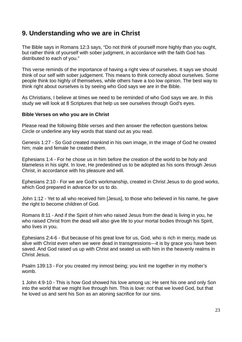### **9. Understanding who we are in Christ**

The Bible says in Romans 12:3 says, "Do not think of yourself more highly than you ought, but rather think of yourself with sober judgment, in accordance with the faith God has distributed to each of you."

This verse reminds of the importance of having a right view of ourselves. It says we should think of our self with sober judgement. This means to think correctly about ourselves. Some people think too highly of themselves, while others have a too low opinion. The best way to think right about ourselves is by seeing who God says we are in the Bible.

As Christians, I believe at times we need to be reminded of who God says we are. In this study we will look at 8 Scriptures that help us see ourselves through God's eyes.

#### **Bible Verses on who you are in Christ**

Please read the following Bible verses and then answer the reflection questions below. Circle or underline any key words that stand out as you read.

Genesis 1:27 - So God created mankind in his own image, in the image of God he created him; male and female he created them.

Ephesians 1:4 - For he chose us in him before the creation of the world to be holy and blameless in his sight. In love, He predestined us to be adopted as his sons through Jesus Christ, in accordance with his pleasure and will.

Ephesians 2:10 - For we are God's workmanship, created in Christ Jesus to do good works, which God prepared in advance for us to do.

John 1:12 - Yet to all who received him [Jesus], to those who believed in his name, he gave the right to become children of God.

Romans 8:11 - And if the Spirit of him who raised Jesus from the dead is living in you, he who raised Christ from the dead will also give life to your mortal bodies through his Spirit, who lives in you.

Ephesians 2:4-6 - But because of his great love for us, God, who is rich in mercy, made us alive with Christ even when we were dead in transgressions—it is by grace you have been saved. And God raised us up with Christ and seated us with him in the heavenly realms in Christ Jesus.

Psalm 139:13 - For you created my inmost being; you knit me together in my mother's womb.

1 John 4:9-10 - This is how God showed his love among us: He sent his one and only Son into the world that we might live through him. This is love: not that we loved God, but that he loved us and sent his Son as an atoning sacrifice for our sins.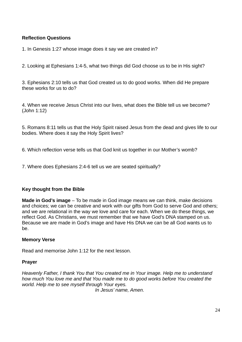#### **Reflection Questions**

1. In Genesis 1:27 whose image does it say we are created in?

2. Looking at Ephesians 1:4-5, what two things did God choose us to be in His sight?

3. Ephesians 2:10 tells us that God created us to do good works. When did He prepare these works for us to do?

4. When we receive Jesus Christ into our lives, what does the Bible tell us we become? (John 1:12)

5. Romans 8:11 tells us that the Holy Spirit raised Jesus from the dead and gives life to our bodies. Where does it say the Holy Spirit lives?

6. Which reflection verse tells us that God knit us together in our Mother's womb?

7. Where does Ephesians 2:4-6 tell us we are seated spiritually?

#### **Key thought from the Bible**

**Made in God's image** – To be made in God image means we can think, make decisions and choices; we can be creative and work with our gifts from God to serve God and others; and we are relational in the way we love and care for each. When we do these things, we reflect God. As Christians, we must remember that we have God's DNA stamped on us. Because we are made in God's image and have His DNA we can be all God wants us to be.

#### **Memory Verse**

Read and memorise John 1:12 for the next lesson.

#### **Prayer**

*Heavenly Father, I thank You that You created me in Your image. Help me to understand how much You love me and that You made me to do good works before You created the world. Help me to see myself through Your eyes.*

*In Jesus' name, Amen.*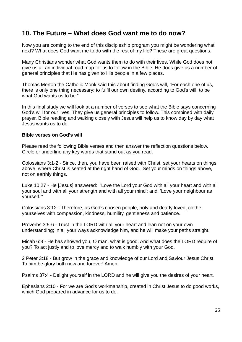### **10. The Future – What does God want me to do now?**

Now you are coming to the end of this discipleship program you might be wondering what next? What does God want me to do with the rest of my life? These are great questions.

Many Christians wonder what God wants them to do with their lives. While God does not give us all an individual road map for us to follow in the Bible, He does give us a number of general principles that He has given to His people in a few places.

Thomas Merton the Catholic Monk said this about finding God's will, "For each one of us, there is only one thing necessary: to fulfil our own destiny, according to God's will, to be what God wants us to be."

In this final study we will look at a number of verses to see what the Bible says concerning God's will for our lives. They give us general principles to follow. This combined with daily prayer, Bible reading and walking closely with Jesus will help us to know day by day what Jesus wants us to do.

#### **Bible verses on God's will**

Please read the following Bible verses and then answer the reflection questions below. Circle or underline any key words that stand out as you read.

Colossians 3:1-2 - Since, then, you have been raised with Christ, set your hearts on things above, where Christ is seated at the right hand of God. Set your minds on things above, not on earthly things.

Luke 10:27 - He [Jesus] answered: "'Love the Lord your God with all your heart and with all your soul and with all your strength and with all your mind'; and, 'Love your neighbour as yourself.'"

Colossians 3:12 - Therefore, as God's chosen people, holy and dearly loved, clothe yourselves with compassion, kindness, humility, gentleness and patience.

Proverbs 3:5-6 - Trust in the LORD with all your heart and lean not on your own understanding; in all your ways acknowledge him, and he will make your paths straight.

Micah 6:8 - He has showed you, O man, what is good. And what does the LORD require of you? To act justly and to love mercy and to walk humbly with your God.

2 Peter 3:18 - But grow in the grace and knowledge of our Lord and Saviour Jesus Christ. To him be glory both now and forever! Amen.

Psalms 37:4 - Delight yourself in the LORD and he will give you the desires of your heart.

Ephesians 2:10 - For we are God's workmanship, created in Christ Jesus to do good works, which God prepared in advance for us to do.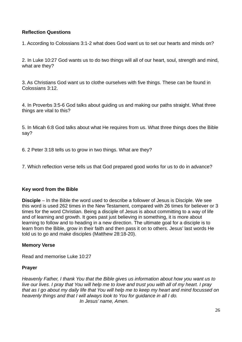#### **Reflection Questions**

1. According to Colossians 3:1-2 what does God want us to set our hearts and minds on?

2. In Luke 10:27 God wants us to do two things will all of our heart, soul, strength and mind, what are they?

3. As Christians God want us to clothe ourselves with five things. These can be found in Colossians 3:12.

4. In Proverbs 3:5-6 God talks about guiding us and making our paths straight. What three things are vital to this?

5. In Micah 6:8 God talks about what He requires from us. What three things does the Bible say?

6. 2 Peter 3:18 tells us to grow in two things. What are they?

7. Which reflection verse tells us that God prepared good works for us to do in advance?

#### **Key word from the Bible**

**Disciple** – In the Bible the word used to describe a follower of Jesus is Disciple. We see this word is used 262 times in the New Testament, compared with 26 times for believer or 3 times for the word Christian. Being a disciple of Jesus is about committing to a way of life and of learning and growth. It goes past just believing in something, it is more about learning to follow and to heading in a new direction. The ultimate goal for a disciple is to learn from the Bible, grow in their faith and then pass it on to others. Jesus' last words He told us to go and make disciples (Matthew 28:18-20).

#### **Memory Verse**

Read and memorise Luke 10:27

#### **Prayer**

*Heavenly Father, I thank You that the Bible gives us information about how you want us to live our lives. I pray that You will help me to love and trust you with all of my heart. I pray that as I go about my daily life that You will help me to keep my heart and mind focussed on heavenly things and that I will always look to You for guidance in all I do. In Jesus' name, Amen.*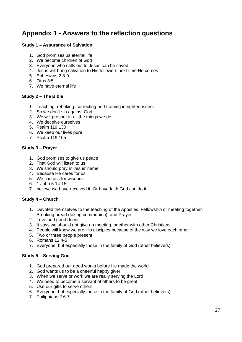# **Appendix 1 - Answers to the reflection questions**

#### **Study 1 – Assurance of Salvation**

- 1. God promises us eternal life
- 2. We become children of God
- 3. Everyone who calls out to Jesus can be saved
- 4. Jesus will bring salvation to His followers next time He comes
- 5. Ephesians 2:8-9
- 6. Titus 3:5
- 7. We have eternal life

#### **Study 2 – The Bible**

- 1. Teaching, rebuking, correcting and training in righteousness
- 2. So we don't sin against God
- 3. We will prosper in all the things we do
- 4. We deceive ourselves
- 5. Psalm 119:130
- 6. We keep our lives pure
- 7. Psalm 119:105

#### **Study 3 – Prayer**

- 1. God promises to give us peace
- 2. That God will listen to us
- 3. We should pray in Jesus' name
- 4. Because He cares for us
- 5. We can ask for wisdom
- 6. 1 John 5:14-15
- 7. believe we have received it. Or have faith God can do it.

#### **Study 4 – Church**

- 1. Devoted themselves to the teaching of the Apostles, Fellowship or meeting together, Breaking bread (taking communion), and Prayer.
- 2. Love and good deeds
- 3. It says we should not give up meeting together with other Christians
- 4. People will know we are His disciples because of the way we love each other
- 5. Two or three people present
- 6. Romans 12:4-5
- 7. Everyone, but especially those in the family of God (other believers)

#### **Study 5 – Serving God**

- 1. God prepared our good works before He made the world
- 2. God wants us to be a cheerful happy giver
- 3. When we serve or work we are really serving the Lord
- 4. We need to become a servant of others to be great
- 5. Use our gifts to serve others
- 6. Everyone, but especially those in the family of God (other believers)
- 7. Philippians 2:6-7